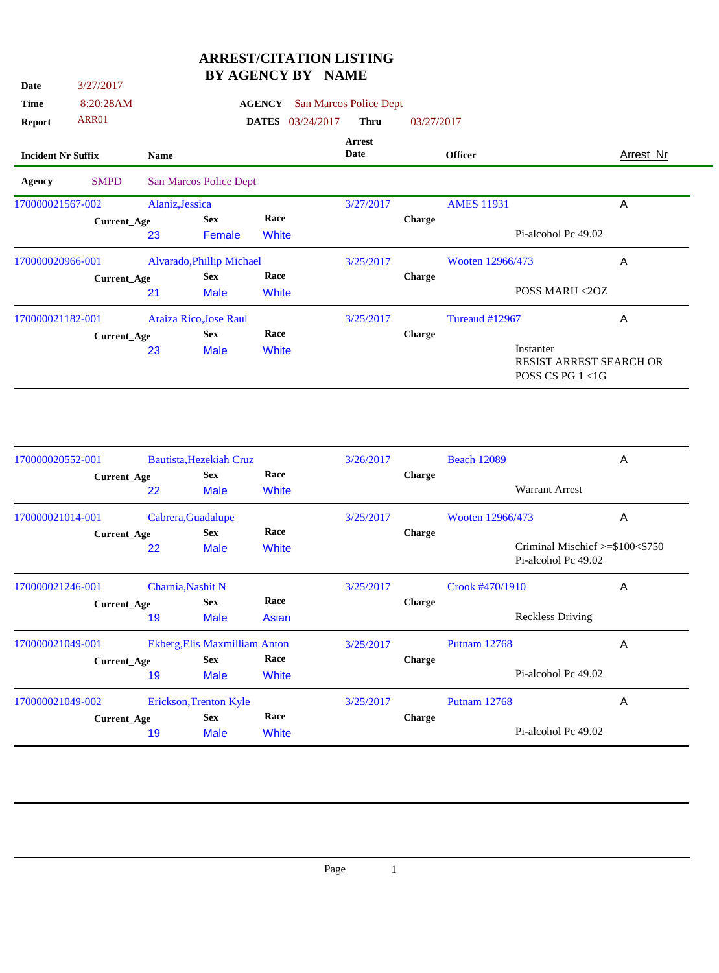## **ARREST/CITATION LISTING BY AGENCY BY NAME**

3/27/2017 **Date Time** 8:20:28AM **Report** ARR01 **Incident Nr Suffix Name AGENCY** San Marcos Police Dept 03/24/2017 **Thru** 03/27/2017 **DATES Arrest Defficer** Arrest\_Nr **Agency** SMPD San Marcos Police Dept 170000021567-002 Alaniz,Jessica 3/27/2017 AMES 11931 A **Current\_Age Sex Race** 23 Female White **Charge** Pi-alcohol Pc 49.02 170000020966-001 Alvarado,Phillip Michael 3/25/2017 Wooten 12966/473 A **Current\_Age Sex Race** 21 Male White **Charge** POSS MARIJ <2OZ 170000021182-001 Araiza Rico,Jose Raul 3/25/2017 Tureaud #12967 A **Current\_Age Sex Race** 23 Male White **Charge** Instanter RESIST ARREST SEARCH OR POSS CS PG 1 <1G

| 170000020552-001   |    | Bautista, Hezekiah Cruz       |       | 3/26/2017 |               | <b>Beach 12089</b>      | $\overline{A}$                             |
|--------------------|----|-------------------------------|-------|-----------|---------------|-------------------------|--------------------------------------------|
| <b>Current_Age</b> |    | <b>Sex</b>                    | Race  |           | <b>Charge</b> |                         |                                            |
|                    | 22 | <b>Male</b>                   | White |           |               | <b>Warrant Arrest</b>   |                                            |
| 170000021014-001   |    | Cabrera, Guadalupe            |       | 3/25/2017 |               | Wooten 12966/473        | A                                          |
| Current_Age        |    | <b>Sex</b>                    | Race  |           | <b>Charge</b> |                         |                                            |
|                    | 22 | <b>Male</b>                   | White |           |               | Pi-alcohol Pc 49.02     | Criminal Mischief $\ge$ =\$100 $\lt$ \$750 |
| 170000021246-001   |    | Charnia, Nashit N             |       | 3/25/2017 |               | Crook #470/1910         | $\overline{A}$                             |
| <b>Current_Age</b> |    | <b>Sex</b>                    | Race  |           | <b>Charge</b> |                         |                                            |
|                    | 19 | <b>Male</b>                   | Asian |           |               | <b>Reckless Driving</b> |                                            |
| 170000021049-001   |    | Ekberg, Elis Maxmilliam Anton |       | 3/25/2017 |               | <b>Putnam 12768</b>     | A                                          |
| <b>Current_Age</b> |    | <b>Sex</b>                    | Race  |           | <b>Charge</b> |                         |                                            |
|                    | 19 | <b>Male</b>                   | White |           |               | Pi-alcohol Pc 49.02     |                                            |
| 170000021049-002   |    | Erickson, Trenton Kyle        |       | 3/25/2017 |               | <b>Putnam 12768</b>     | A                                          |
| <b>Current_Age</b> |    | <b>Sex</b>                    | Race  |           | <b>Charge</b> |                         |                                            |
|                    | 19 | <b>Male</b>                   | White |           |               | Pi-alcohol Pc 49.02     |                                            |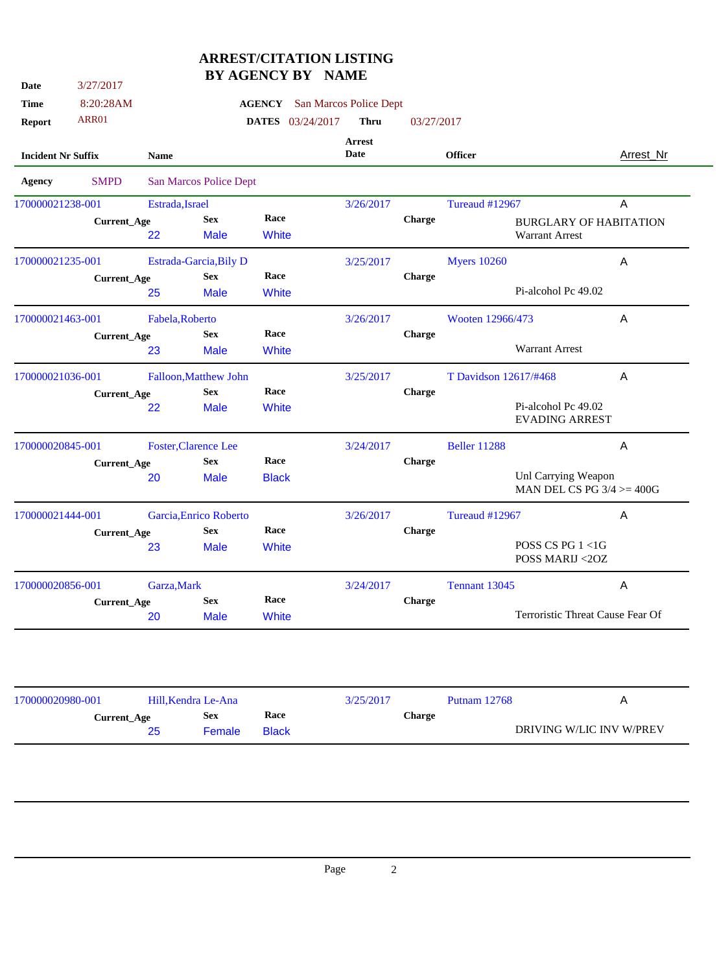| Date                      | 3/27/2017          |                 |                           | <b>BY AGENCY BY NAME</b> |                        |               |                       |                                                      |                |
|---------------------------|--------------------|-----------------|---------------------------|--------------------------|------------------------|---------------|-----------------------|------------------------------------------------------|----------------|
| <b>Time</b>               | 8:20:28AM          |                 |                           | <b>AGENCY</b>            | San Marcos Police Dept |               |                       |                                                      |                |
| <b>Report</b>             | ARR01              |                 |                           | <b>DATES</b> 03/24/2017  | <b>Thru</b>            | 03/27/2017    |                       |                                                      |                |
| <b>Incident Nr Suffix</b> |                    | <b>Name</b>     |                           |                          | <b>Arrest</b><br>Date  |               | <b>Officer</b>        |                                                      | Arrest_Nr      |
| <b>Agency</b>             | <b>SMPD</b>        |                 | San Marcos Police Dept    |                          |                        |               |                       |                                                      |                |
| 170000021238-001          |                    | Estrada, Israel |                           |                          | 3/26/2017              |               | Tureaud #12967        |                                                      | A              |
|                           | <b>Current_Age</b> | 22              | <b>Sex</b><br><b>Male</b> | Race<br><b>White</b>     |                        | <b>Charge</b> |                       | <b>BURGLARY OF HABITATION</b><br>Warrant Arrest      |                |
| 170000021235-001          |                    |                 | Estrada-Garcia, Bily D    |                          | 3/25/2017              |               | <b>Myers 10260</b>    |                                                      | A              |
|                           | <b>Current_Age</b> | 25              | <b>Sex</b><br><b>Male</b> | Race<br><b>White</b>     |                        | <b>Charge</b> |                       | Pi-alcohol Pc 49.02                                  |                |
| 170000021463-001          |                    | Fabela, Roberto |                           |                          | 3/26/2017              |               | Wooten 12966/473      |                                                      | A              |
|                           | <b>Current_Age</b> | 23              | <b>Sex</b><br><b>Male</b> | Race<br><b>White</b>     |                        | Charge        |                       | <b>Warrant Arrest</b>                                |                |
| 170000021036-001          |                    |                 | Falloon, Matthew John     |                          | 3/25/2017              |               | T Davidson 12617/#468 |                                                      | $\overline{A}$ |
|                           | <b>Current_Age</b> |                 | <b>Sex</b>                | Race                     |                        | <b>Charge</b> |                       |                                                      |                |
|                           |                    | 22              | <b>Male</b>               | <b>White</b>             |                        |               |                       | Pi-alcohol Pc 49.02<br><b>EVADING ARREST</b>         |                |
| 170000020845-001          |                    |                 | Foster, Clarence Lee      |                          | 3/24/2017              |               | <b>Beller</b> 11288   |                                                      | A              |
|                           | <b>Current_Age</b> |                 | <b>Sex</b>                | Race                     |                        | <b>Charge</b> |                       |                                                      |                |
|                           |                    | 20              | <b>Male</b>               | <b>Black</b>             |                        |               |                       | Unl Carrying Weapon<br>MAN DEL CS PG $3/4 \ge 400$ G |                |
| 170000021444-001          |                    |                 | Garcia, Enrico Roberto    |                          | 3/26/2017              |               | <b>Tureaud #12967</b> |                                                      | A              |
|                           | <b>Current_Age</b> |                 | <b>Sex</b>                | Race                     |                        | <b>Charge</b> |                       |                                                      |                |
|                           |                    | 23              | <b>Male</b>               | <b>White</b>             |                        |               |                       | POSS CS PG 1 <1G<br>POSS MARIJ <20Z                  |                |
| 170000020856-001          |                    | Garza, Mark     |                           |                          | 3/24/2017              |               | Tennant 13045         |                                                      | A              |

**ARREST/CITATION LISTING**

| 170000020980-001 |             | Hill.Kendra Le-Ana |              | 3/25/2017 | <b>Putnam 12768</b> | A                        |
|------------------|-------------|--------------------|--------------|-----------|---------------------|--------------------------|
|                  | Current_Age | <b>Sex</b>         | Race         |           | Charge              |                          |
|                  | 25          | Female             | <b>Black</b> |           |                     | DRIVING W/LIC INV W/PREV |

**Charge**

Terroristic Threat Cause Fear Of

**Current\_Age Sex Race**

20 Male White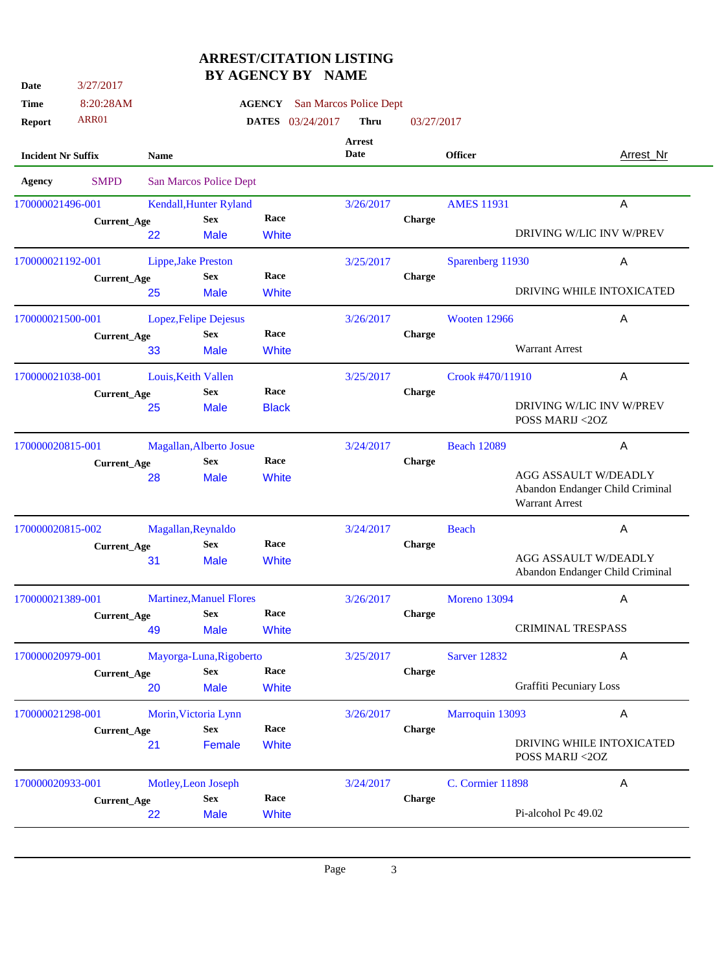| Date                      | 3/27/2017          |             |                                |                         | <b>BY AGENCY BY NAME</b>             |               |                     |                                             |                                                                |
|---------------------------|--------------------|-------------|--------------------------------|-------------------------|--------------------------------------|---------------|---------------------|---------------------------------------------|----------------------------------------------------------------|
| <b>Time</b>               | 8:20:28AM          |             |                                |                         | <b>AGENCY</b> San Marcos Police Dept |               |                     |                                             |                                                                |
| <b>Report</b>             | ARR01              |             |                                | <b>DATES</b> 03/24/2017 | <b>Thru</b>                          | 03/27/2017    |                     |                                             |                                                                |
| <b>Incident Nr Suffix</b> |                    | <b>Name</b> |                                |                         | <b>Arrest</b><br>Date                |               | <b>Officer</b>      |                                             | <b>Arrest_Nr</b>                                               |
| <b>Agency</b>             | <b>SMPD</b>        |             | San Marcos Police Dept         |                         |                                      |               |                     |                                             |                                                                |
| 170000021496-001          |                    |             | <b>Kendall, Hunter Ryland</b>  |                         | 3/26/2017                            |               | <b>AMES 11931</b>   |                                             | $\overline{A}$                                                 |
|                           | <b>Current_Age</b> | 22          | <b>Sex</b><br><b>Male</b>      | Race<br>White           |                                      | <b>Charge</b> |                     |                                             | DRIVING W/LIC INV W/PREV                                       |
| 170000021192-001          |                    |             | Lippe, Jake Preston            |                         | 3/25/2017                            |               | Sparenberg 11930    |                                             | Α                                                              |
|                           | <b>Current_Age</b> | 25          | <b>Sex</b><br><b>Male</b>      | Race<br>White           |                                      | <b>Charge</b> |                     |                                             | DRIVING WHILE INTOXICATED                                      |
| 170000021500-001          |                    |             | Lopez, Felipe Dejesus          |                         | 3/26/2017                            |               | Wooten 12966        |                                             | A                                                              |
|                           | <b>Current_Age</b> | 33          | <b>Sex</b><br><b>Male</b>      | Race<br><b>White</b>    |                                      | <b>Charge</b> |                     | <b>Warrant Arrest</b>                       |                                                                |
| 170000021038-001          |                    |             | Louis, Keith Vallen            |                         | 3/25/2017                            |               | Crook #470/11910    |                                             | A                                                              |
|                           | <b>Current_Age</b> | 25          | <b>Sex</b><br><b>Male</b>      | Race<br><b>Black</b>    |                                      | Charge        |                     | DRIVING W/LIC INV W/PREV<br>POSS MARIJ <20Z |                                                                |
| 170000020815-001          |                    |             | Magallan, Alberto Josue        |                         | 3/24/2017                            |               | <b>Beach 12089</b>  |                                             | A                                                              |
|                           | <b>Current_Age</b> | 28          | <b>Sex</b><br><b>Male</b>      | Race<br>White           |                                      | <b>Charge</b> |                     | <b>Warrant Arrest</b>                       | <b>AGG ASSAULT W/DEADLY</b><br>Abandon Endanger Child Criminal |
| 170000020815-002          |                    |             | Magallan, Reynaldo             |                         | 3/24/2017                            |               | <b>Beach</b>        |                                             | A                                                              |
|                           | <b>Current_Age</b> | 31          | <b>Sex</b><br><b>Male</b>      | Race<br>White           |                                      | <b>Charge</b> |                     |                                             | <b>AGG ASSAULT W/DEADLY</b><br>Abandon Endanger Child Criminal |
| 170000021389-001          |                    |             | <b>Martinez, Manuel Flores</b> |                         | 3/26/2017                            |               | <b>Moreno 13094</b> |                                             | A                                                              |
|                           | <b>Current_Age</b> | 49          | <b>Sex</b><br><b>Male</b>      | Race<br>White           |                                      | Charge        |                     | <b>CRIMINAL TRESPASS</b>                    |                                                                |
| 170000020979-001          |                    |             | Mayorga-Luna, Rigoberto        |                         | 3/25/2017                            |               | <b>Sarver 12832</b> |                                             | A                                                              |
|                           | <b>Current_Age</b> | 20          | <b>Sex</b><br><b>Male</b>      | Race<br>White           |                                      | <b>Charge</b> |                     | <b>Graffiti Pecuniary Loss</b>              |                                                                |
| 170000021298-001          |                    |             | Morin, Victoria Lynn           |                         | 3/26/2017                            |               | Marroquin 13093     |                                             | A                                                              |
|                           | <b>Current_Age</b> | 21          | <b>Sex</b><br>Female           | Race<br>White           |                                      | Charge        |                     | POSS MARIJ <20Z                             | DRIVING WHILE INTOXICATED                                      |

**ARREST/CITATION LISTING**

170000020933-001 Motley,Leon Joseph 3/24/2017 C. Cormier 11898 A **Current\_Age Sex Race** 22 Male White **Charge** Pi-alcohol Pc 49.02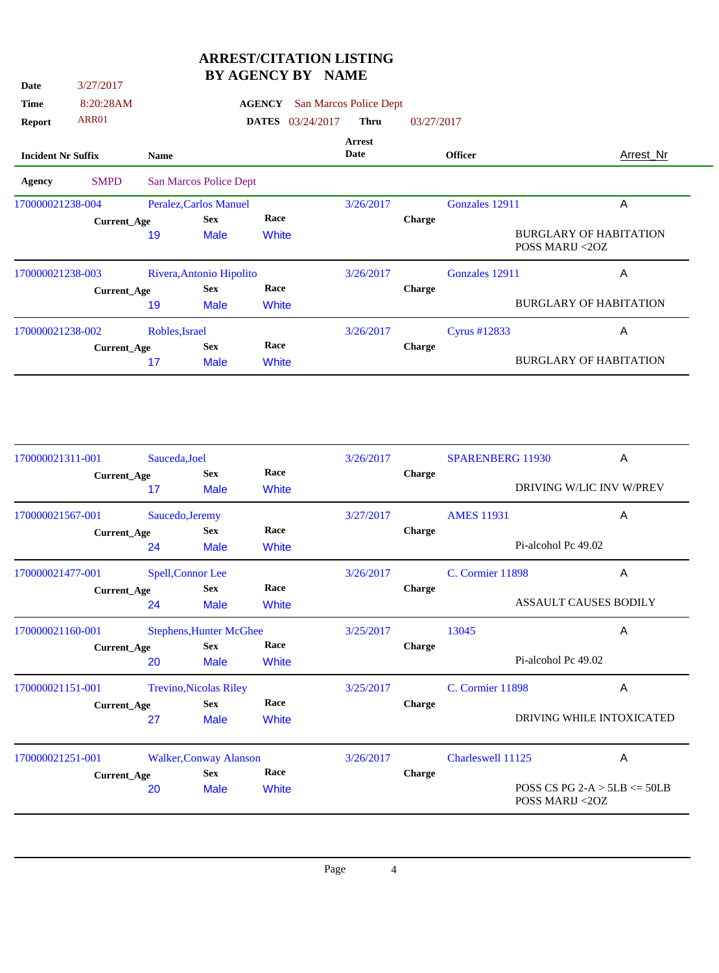## **ARREST/CITATION LISTING BY AGENCY BY NAME**

l,

Ĭ.

| Date                      | 3/27/2017          |                |                          | DI AULIVI DI  |            | $\bf{117} \bf{117} \bf{117}$ |               |                |                                                  |  |
|---------------------------|--------------------|----------------|--------------------------|---------------|------------|------------------------------|---------------|----------------|--------------------------------------------------|--|
| <b>Time</b>               | 8:20:28AM          |                |                          | <b>AGENCY</b> |            | San Marcos Police Dept       |               |                |                                                  |  |
| Report                    | ARR01              |                |                          | <b>DATES</b>  | 03/24/2017 | <b>Thru</b>                  | 03/27/2017    |                |                                                  |  |
| <b>Incident Nr Suffix</b> |                    | <b>Name</b>    |                          |               |            | <b>Arrest</b><br>Date        |               | <b>Officer</b> | Arrest_Nr                                        |  |
| Agency                    | <b>SMPD</b>        |                | San Marcos Police Dept   |               |            |                              |               |                |                                                  |  |
| 170000021238-004          |                    |                | Peralez, Carlos Manuel   |               |            | 3/26/2017                    |               | Gonzales 12911 | A                                                |  |
|                           | Current_Age        |                | <b>Sex</b>               | Race          |            |                              | <b>Charge</b> |                |                                                  |  |
|                           |                    | 19             | <b>Male</b>              | White         |            |                              |               |                | <b>BURGLARY OF HABITATION</b><br>POSS MARIJ <20Z |  |
| 170000021238-003          |                    |                | Rivera, Antonio Hipolito |               |            | 3/26/2017                    |               | Gonzales 12911 | A                                                |  |
|                           | <b>Current_Age</b> |                | <b>Sex</b>               | Race          |            |                              | <b>Charge</b> |                |                                                  |  |
|                           |                    | 19             | <b>Male</b>              | White         |            |                              |               |                | <b>BURGLARY OF HABITATION</b>                    |  |
| 170000021238-002          |                    | Robles, Israel |                          |               |            | 3/26/2017                    |               | Cyrus #12833   | Α                                                |  |
|                           | Current_Age        |                | <b>Sex</b>               | Race          |            |                              | <b>Charge</b> |                |                                                  |  |
|                           |                    | 17             | <b>Male</b>              | White         |            |                              |               |                | <b>BURGLARY OF HABITATION</b>                    |  |

| 170000021311-001   | Sauceda, Joel                                                                    |                               |                     | 3/26/2017 |               | <b>SPARENBERG 11930</b> | A                               |
|--------------------|----------------------------------------------------------------------------------|-------------------------------|---------------------|-----------|---------------|-------------------------|---------------------------------|
| Current_Age        | 17                                                                               | <b>Sex</b><br><b>Male</b>     | Race<br>White       |           | <b>Charge</b> |                         | DRIVING W/LIC INV W/PREV        |
| 170000021567-001   |                                                                                  | Saucedo, Jeremy               |                     | 3/27/2017 |               | <b>AMES 11931</b>       | A                               |
| <b>Current_Age</b> | 24                                                                               | <b>Sex</b><br><b>Male</b>     | Race<br>White       |           | <b>Charge</b> | Pi-alcohol Pc 49.02     |                                 |
| 170000021477-001   |                                                                                  | Spell, Connor Lee             |                     | 3/26/2017 |               | <b>C.</b> Cormier 11898 | A                               |
| Current_Age        | 24                                                                               | <b>Sex</b><br><b>Male</b>     | Race<br>White       |           | <b>Charge</b> |                         | <b>ASSAULT CAUSES BODILY</b>    |
| 170000021160-001   | <b>Stephens, Hunter McGhee</b>                                                   |                               |                     | 3/25/2017 |               | 13045                   | A                               |
|                    | Race<br><b>Sex</b><br><b>Charge</b><br>Current_Age<br>20<br><b>Male</b><br>White |                               | Pi-alcohol Pc 49.02 |           |               |                         |                                 |
| 170000021151-001   |                                                                                  | <b>Trevino, Nicolas Riley</b> |                     | 3/25/2017 |               | <b>C.</b> Cormier 11898 | A                               |
| <b>Current_Age</b> | 27                                                                               | <b>Sex</b><br><b>Male</b>     | Race<br>White       |           | <b>Charge</b> |                         | DRIVING WHILE INTOXICATED       |
| 170000021251-001   |                                                                                  | <b>Walker, Conway Alanson</b> |                     | 3/26/2017 |               | Charleswell 11125       | A                               |
| <b>Current_Age</b> |                                                                                  | <b>Sex</b>                    | Race                |           | Charge        |                         |                                 |
|                    | 20                                                                               | <b>Male</b>                   | White               |           |               | POSS MARIJ <20Z         | POSS CS PG $2-A > 5LB \le 50LB$ |
|                    |                                                                                  |                               |                     |           |               |                         |                                 |